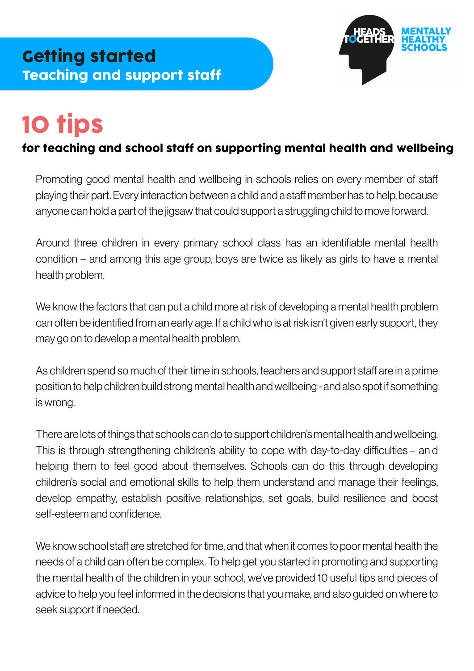

# 10 tips

#### for teaching and school staff on supporting mental health and wellbeing

Promoting good mental health and wellbeing in schools relies on every member of sta playing their part. Every interaction between a child and a staff member has to help, because anyone can hold a part of the jigsaw that could support a struggling child to move forward.

Around three children in every primary school class has an identifiable mental health condition – and among this age group, boys are twice as likely as girls to have a mental health problem.

We know the factors that can put a child more at risk of developing a mental health problem can often be identified from an early age. If a child who is at risk isn't given early support, they may go on to develop a mental health problem.

As children spend so much of their time in schools, teachers and support staff are in a prime position to help children build strong mental health and wellbeing - and also spot if something is wrong.

There are lots of things that schools can do to support children's mental health and wellbeing. This is through strengthening children's ability to cope with day-to-day difficulties – an d helping them to feel good about themselves. Schools can do this through developing children's social and emotional skills to help them understand and manage their feelings, develop empathy, establish positive relationships, set goals, build resilience and boost self-esteem and confidence.

We know school staff are stretched for time, and that when it comes to poor mental health the needs of a child can often be complex. To help get you started in promoting and supporting the mental health of the children in your school, we've provided 10 useful tips and pieces of advice to help you feel informed in the decisions that you make, and also guided on where to seek support if needed.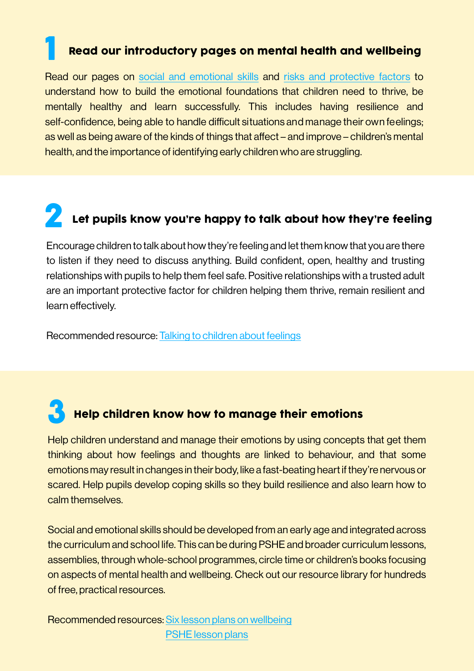#### Read our introductory pages on mental health and wellbeing

Read our pages on [social and emotional skills](https://www.mentallyhealthyschools.org.uk/getting-started/social-and-emotional-skills/) and [risks and protective factors](https://www.mentallyhealthyschools.org.uk/risks-and-protective-factors/) to understand how to build the emotional foundations that children need to thrive, be mentally healthy and learn successfully. This includes having resilience and self-confidence, being able to handle difficult situations and manage their own feelings; as well as being aware of the kinds of things that affect – and improve – children's mental health, and the importance of identifying early children who are struggling.

## **2** Let pupils know you're happy to talk about how they're feeling

Encourage children to talk about how they're feeling and let them know that you are there to listen if they need to discuss anything. Build confident, open, healthy and trusting relationships with pupils to help them feel safe. Positive relationships with a trusted adult are an important protective factor for children helping them thrive, remain resilient and learn effectively.

Recommended resource: [Talking to children about feelings](https://mentallyhealthyschools.org.uk/resources/nhs-choices-talking-to-children-about-feelings)

### **3** Help children know how to manage their emotions

Help children understand and manage their emotions by using concepts that get them thinking about how feelings and thoughts are linked to behaviour, and that some emotions may result in changes in their body, like a fast-beating heart if they're nervous or scared. Help pupils develop coping skills so they build resilience and also learn how to calm themselves.

Social and emotional skills should be developed from an early age and integrated across the curriculum and school life. This can be during PSHE and broader curriculum lessons, assemblies, through whole-school programmes, circle time or children's books focusing on aspects of mental health and wellbeing. Check out our resource library for hundreds of free, practical resources.

Recommended resources: [Six lesson plans on wellbeing](https://www.mentallyhealthyschools.org.uk/resources/?SortBy=&SearchTerm=kapow+wellbeing&ResourceFilters[Theme]=&ResourceFilters[ResourceType]=80e840b2-a890-48f6-8ba9-ea66220034c3&PageId=1279) [PSHE lesson plans](https://www.mentallyhealthyschools.org.uk/resources/guidance-on-preparing-to-teach-about-mental-health-and-emotional-wellbeing/?searchTerm=PSHE)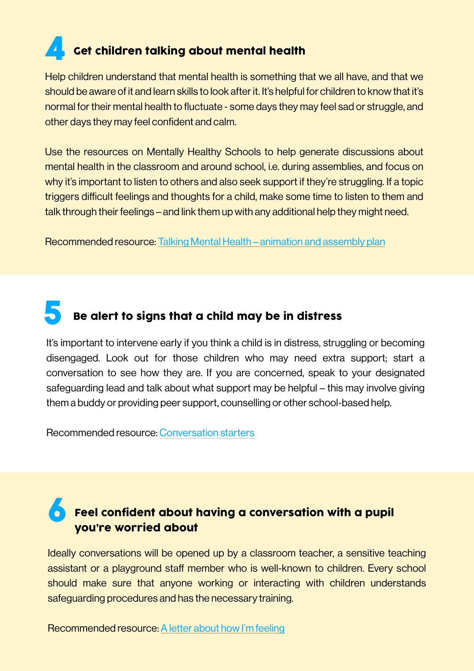## **4** Get children talking about mental health

Help children understand that mental health is something that we all have, and that we should be aware of it and learn skills to look after it. It's helpful for children to know that it's normal for their mental health to fluctuate - some days they may feel sad or struggle, and other days they may feel confident and calm.

Use the resources on Mentally Healthy Schools to help generate discussions about mental health in the classroom and around school, i.e. during assemblies, and focus on why it's important to listen to others and also seek support if they're struggling. If a topic triggers difficult feelings and thoughts for a child, make some time to listen to them and talk through their feelings – and link them up with any additional help they might need.

Recommended resource: [Talking Mental Health – animation and assembly plan](https://mentallyhealthyschools.org.uk/resources/talking-mental-health/?searchTerm=talking%20mental%20health)

#### 5 Be alert to signs that a child may be in distress

It's important to intervene early if you think a child is in distress, struggling or becoming disengaged. Look out for those children who may need extra support; start a conversation to see how they are. If you are concerned, speak to your designated safeguarding lead and talk about what support may be helpful – this may involve giving them a buddy or providing peer support, counselling or other school-based help.

Recommended resource: [Conversation starters](https://www.mentallyhealthyschools.org.uk/media/1611/tips-for-having-a-conversation-with-a-child-about-mental-health.pdf)

#### **Feel confident about having a conversation with a pupil** you're worried about

Ideally conversations will be opened up by a classroom teacher, a sensitive teaching assistant or a playground staff member who is well-known to children. Every school should make sure that anyone working or interacting with children understands safeguarding procedures and has the necessary training.

Recommended resource: [A letter about how I'm feeling](https://www.mentallyhealthyschools.org.uk/resources/a-letter-about-how-im-feeling)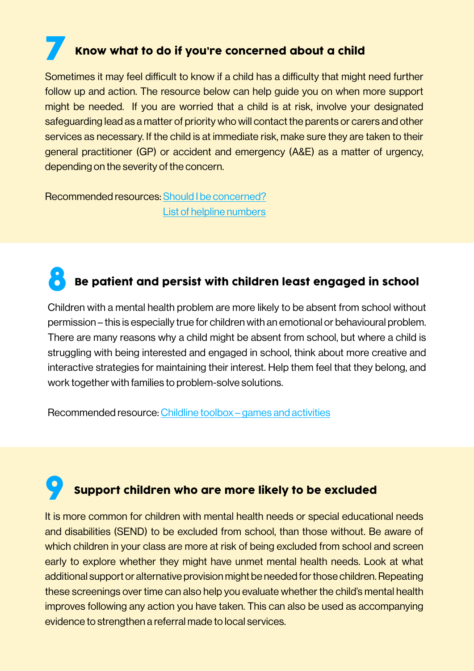## Know what to do if you're concerned about a child

Sometimes it may feel difficult to know if a child has a difficulty that might need further follow up and action. The resource below can help guide you on when more support might be needed. If you are worried that a child is at risk, involve your designated safeguarding lead as a matter of priority who will contact the parents or carers and other services as necessary. If the child is at immediate risk, make sure they are taken to their general practitioner (GP) or accident and emergency (A&E) as a matter of urgency, depending on the severity of the concern.

Recommended resources: [Should I be concerned?](https://www.mentallyhealthyschools.org.uk/resources/minded-should-i-be-concerned/?searchTerm=concerned)  [List of helpline numbers](https://www.mentallyhealthyschools.org.uk/concerned-about-a-child/)

### 8 Be patient and persist with children least engaged in school

Children with a mental health problem are more likely to be absent from school without permission – this is especially true for children with an emotional or behavioural problem. There are many reasons why a child might be absent from school, but where a child is struggling with being interested and engaged in school, think about more creative and interactive strategies for maintaining their interest. Help them feel that they belong, and work together with families to problem-solve solutions.

Recommended resource: [Childline toolbox – games and activities](https://www.mentallyhealthyschools.org.uk/resources/childline-toolbox)

### Support children who are more likely to be excluded

It is more common for children with mental health needs or special educational needs and disabilities (SEND) to be excluded from school, than those without. Be aware of which children in your class are more at risk of being excluded from school and screen early to explore whether they might have unmet mental health needs. Look at what additional support or alternative provision might be needed for those children. Repeating these screenings over time can also help you evaluate whether the child's mental health improves following any action you have taken. This can also be used as accompanying evidence to strengthen a referral made to local services.